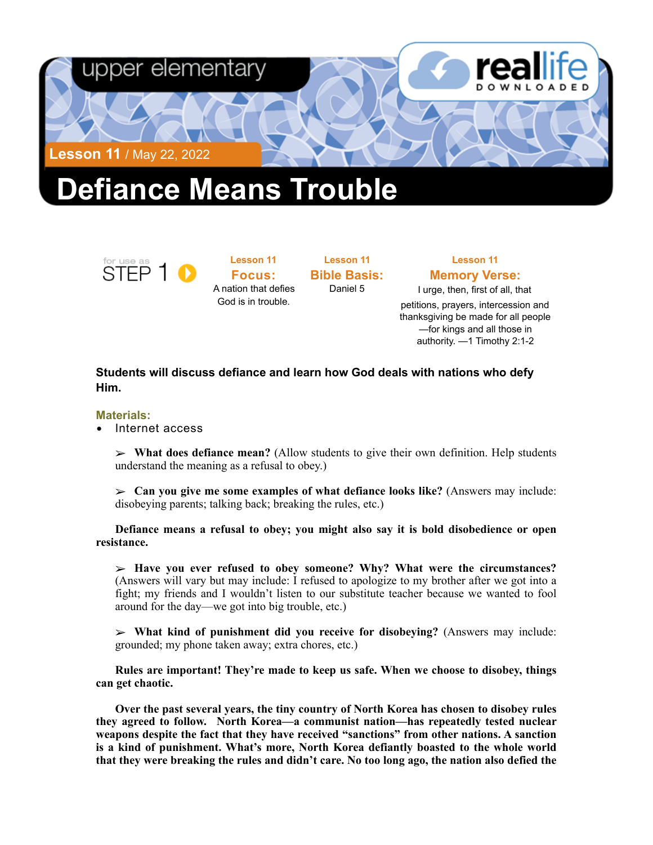

# **Defiance Means Trouble**



**Lesson 11 Focus:**  A nation that defies God is in trouble.

**Lesson 11 Bible Basis:** Daniel 5

## **Lesson 11 Memory Verse:**

I urge, then, first of all, that petitions, prayers, intercession and thanksgiving be made for all people —for kings and all those in authority. —1 Timothy 2:1-2

### **Students will discuss defiance and learn how God deals with nations who defy Him.**

#### **Materials:**

• Internet access

➢ **What does defiance mean?** (Allow students to give their own definition. Help students understand the meaning as a refusal to obey.)

➢ **Can you give me some examples of what defiance looks like?** (Answers may include: disobeying parents; talking back; breaking the rules, etc.)

**Defiance means a refusal to obey; you might also say it is bold disobedience or open resistance.** 

➢ **Have you ever refused to obey someone? Why? What were the circumstances?**  (Answers will vary but may include: I refused to apologize to my brother after we got into a fight; my friends and I wouldn't listen to our substitute teacher because we wanted to fool around for the day—we got into big trouble, etc.)

➢ **What kind of punishment did you receive for disobeying?** (Answers may include: grounded; my phone taken away; extra chores, etc.)

**Rules are important! They're made to keep us safe. When we choose to disobey, things can get chaotic.** 

**Over the past several years, the tiny country of North Korea has chosen to disobey rules they agreed to follow. North Korea—a communist nation—has repeatedly tested nuclear weapons despite the fact that they have received "sanctions" from other nations. A sanction is a kind of punishment. What's more, North Korea defiantly boasted to the whole world that they were breaking the rules and didn't care. No too long ago, the nation also defied the**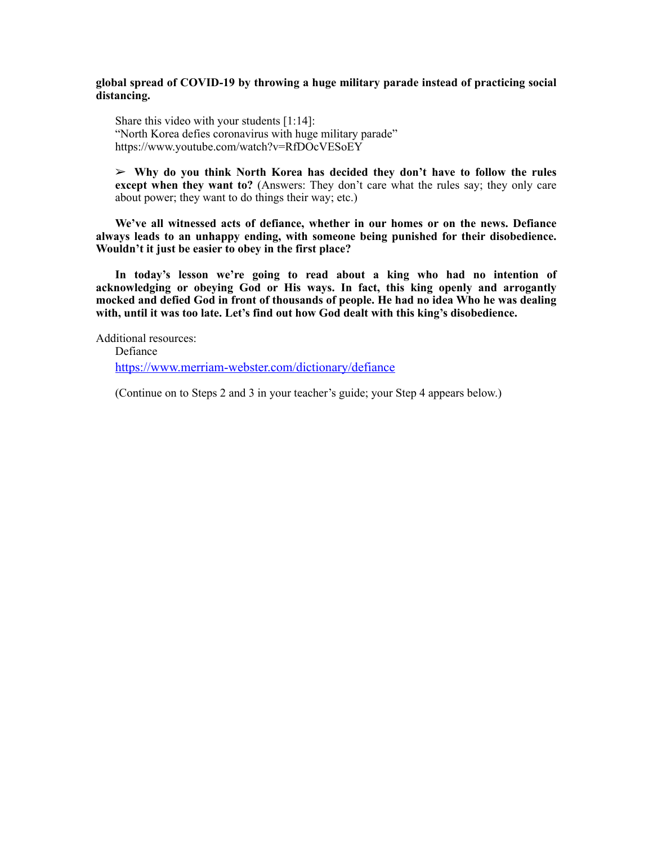#### **global spread of COVID-19 by throwing a huge military parade instead of practicing social distancing.**

Share this video with your students [1:14]: "North Korea defies coronavirus with huge military parade" <https://www.youtube.com/watch?v=RfDOcVESoEY>

➢ **Why do you think North Korea has decided they don't have to follow the rules except when they want to?** (Answers: They don't care what the rules say; they only care about power; they want to do things their way; etc.)

**We've all witnessed acts of defiance, whether in our homes or on the news. Defiance always leads to an unhappy ending, with someone being punished for their disobedience. Wouldn't it just be easier to obey in the first place?** 

**In today's lesson we're going to read about a king who had no intention of acknowledging or obeying God or His ways. In fact, this king openly and arrogantly mocked and defied God in front of thousands of people. He had no idea Who he was dealing with, until it was too late. Let's find out how God dealt with this king's disobedience.** 

Additional resources:

Defiance <https://www.merriam-webster.com/dictionary/defiance>

(Continue on to Steps 2 and 3 in your teacher's guide; your Step 4 appears below.)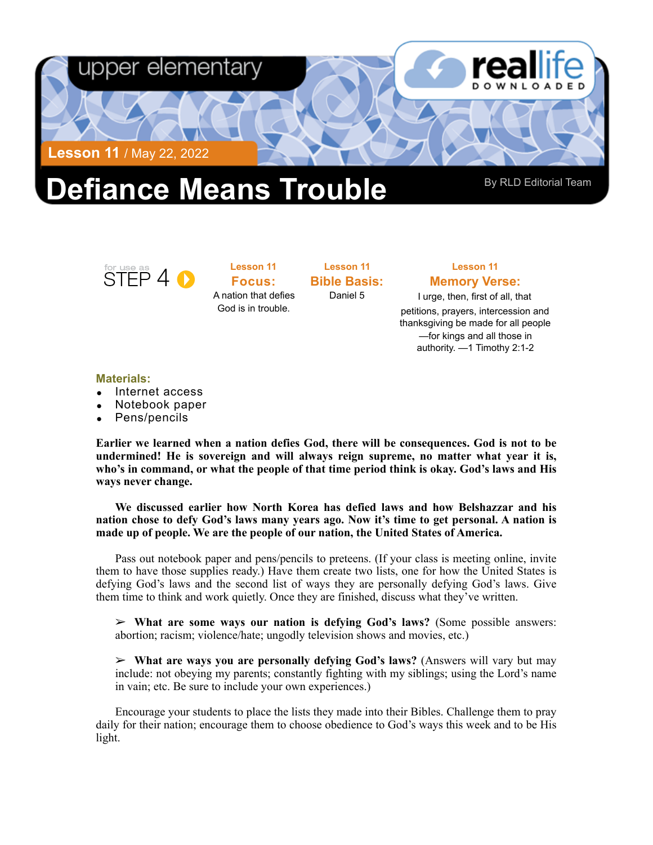

# **efiance Means Trouble** By RLD Editorial Team

STEP 4 O

**Lesson 11 Focus:**  A nation that defies God is in trouble.

**Lesson 11 Bible Basis:** Daniel 5

#### **Lesson 11 Memory Verse:**

I urge, then, first of all, that petitions, prayers, intercession and thanksgiving be made for all people —for kings and all those in authority. —1 Timothy 2:1-2

#### **Materials:**

- Internet access
- Notebook paper
- Pens/pencils

**Earlier we learned when a nation defies God, there will be consequences. God is not to be undermined! He is sovereign and will always reign supreme, no matter what year it is, who's in command, or what the people of that time period think is okay. God's laws and His ways never change.** 

**We discussed earlier how North Korea has defied laws and how Belshazzar and his nation chose to defy God's laws many years ago. Now it's time to get personal. A nation is made up of people. We are the people of our nation, the United States of America.** 

Pass out notebook paper and pens/pencils to preteens. (If your class is meeting online, invite them to have those supplies ready.) Have them create two lists, one for how the United States is defying God's laws and the second list of ways they are personally defying God's laws. Give them time to think and work quietly. Once they are finished, discuss what they've written.

➢ **What are some ways our nation is defying God's laws?** (Some possible answers: abortion; racism; violence/hate; ungodly television shows and movies, etc.)

➢ **What are ways you are personally defying God's laws?** (Answers will vary but may include: not obeying my parents; constantly fighting with my siblings; using the Lord's name in vain; etc. Be sure to include your own experiences.)

Encourage your students to place the lists they made into their Bibles. Challenge them to pray daily for their nation; encourage them to choose obedience to God's ways this week and to be His light.